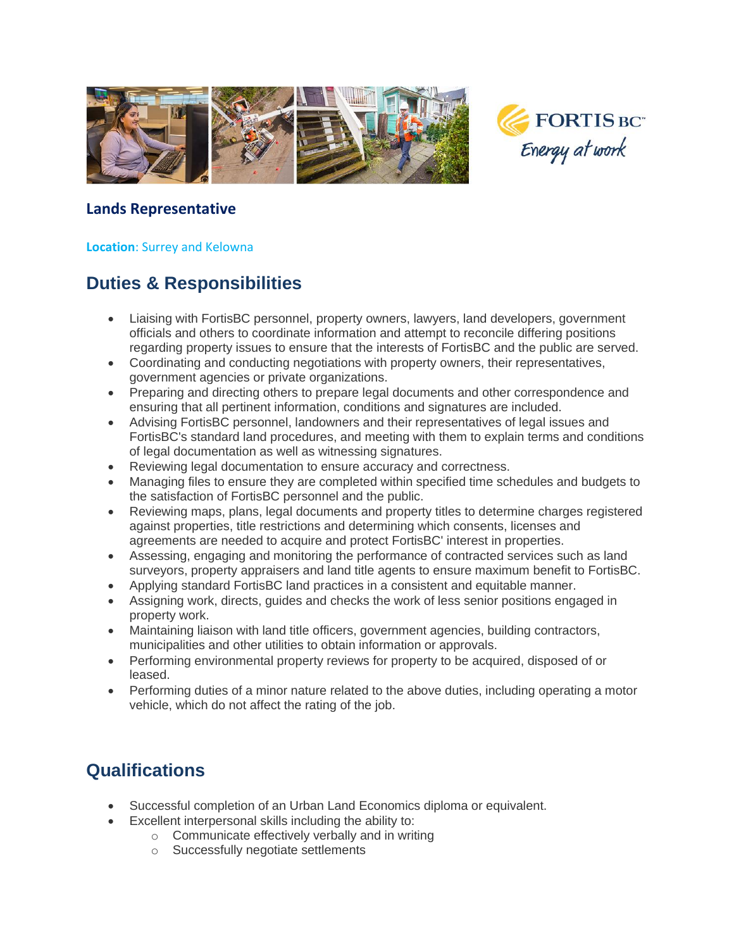

#### **Lands Representative**

#### **Location**: Surrey and Kelowna

## **Duties & Responsibilities**

- Liaising with FortisBC personnel, property owners, lawyers, land developers, government officials and others to coordinate information and attempt to reconcile differing positions regarding property issues to ensure that the interests of FortisBC and the public are served.
- Coordinating and conducting negotiations with property owners, their representatives, government agencies or private organizations.
- Preparing and directing others to prepare legal documents and other correspondence and ensuring that all pertinent information, conditions and signatures are included.
- Advising FortisBC personnel, landowners and their representatives of legal issues and FortisBC's standard land procedures, and meeting with them to explain terms and conditions of legal documentation as well as witnessing signatures.
- Reviewing legal documentation to ensure accuracy and correctness.
- Managing files to ensure they are completed within specified time schedules and budgets to the satisfaction of FortisBC personnel and the public.
- Reviewing maps, plans, legal documents and property titles to determine charges registered against properties, title restrictions and determining which consents, licenses and agreements are needed to acquire and protect FortisBC' interest in properties.
- Assessing, engaging and monitoring the performance of contracted services such as land surveyors, property appraisers and land title agents to ensure maximum benefit to FortisBC.
- Applying standard FortisBC land practices in a consistent and equitable manner.
- Assigning work, directs, guides and checks the work of less senior positions engaged in property work.
- Maintaining liaison with land title officers, government agencies, building contractors, municipalities and other utilities to obtain information or approvals.
- Performing environmental property reviews for property to be acquired, disposed of or leased.
- Performing duties of a minor nature related to the above duties, including operating a motor vehicle, which do not affect the rating of the job.

# **Qualifications**

- Successful completion of an Urban Land Economics diploma or equivalent.
- Excellent interpersonal skills including the ability to:
	- o Communicate effectively verbally and in writing
	- o Successfully negotiate settlements